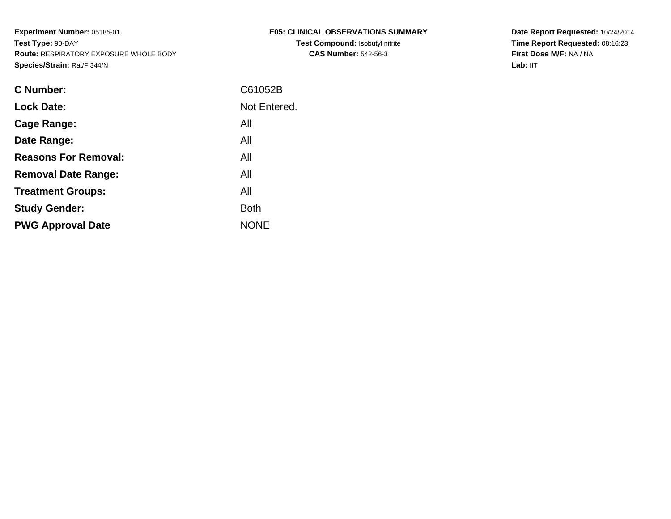| E05: CLINICAL OBSERVATIONS SUMMARY     |
|----------------------------------------|
| <b>Test Compound: Isobutyl nitrite</b> |
| <b>CAS Number: 542-56-3</b>            |

**Date Report Requested:** 10/24/2014 **Time Report Requested:** 08:16:23**First Dose M/F:** NA / NA**Lab:** IIT

| C Number:                   | C61052B      |
|-----------------------------|--------------|
| <b>Lock Date:</b>           | Not Entered. |
| Cage Range:                 | All          |
| Date Range:                 | All          |
| <b>Reasons For Removal:</b> | All          |
| <b>Removal Date Range:</b>  | All          |
| <b>Treatment Groups:</b>    | All          |
| <b>Study Gender:</b>        | <b>Both</b>  |
| <b>PWG Approval Date</b>    | <b>NONF</b>  |
|                             |              |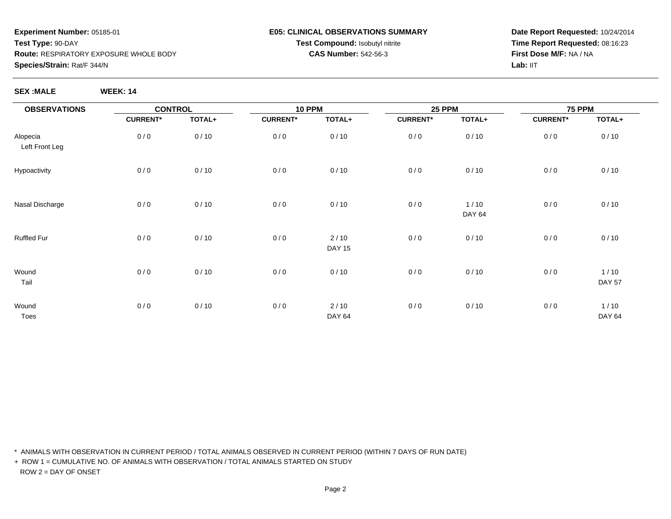#### **E05: CLINICAL OBSERVATIONS SUMMARYTest Compound:** Isobutyl nitrite**CAS Number:** 542-56-3

**Date Report Requested:** 10/24/2014**Time Report Requested:** 08:16:23**First Dose M/F:** NA / NALab: IIT

**SEX :MALE WEEK: 14**

| <b>OBSERVATIONS</b>        |                 | <b>CONTROL</b> |                 | <b>10 PPM</b>           |                 | <b>25 PPM</b>           | <b>75 PPM</b>   |                         |
|----------------------------|-----------------|----------------|-----------------|-------------------------|-----------------|-------------------------|-----------------|-------------------------|
|                            | <b>CURRENT*</b> | TOTAL+         | <b>CURRENT*</b> | TOTAL+                  | <b>CURRENT*</b> | TOTAL+                  | <b>CURRENT*</b> | TOTAL+                  |
| Alopecia<br>Left Front Leg | 0/0             | 0/10           | 0/0             | 0/10                    | 0/0             | 0/10                    | 0/0             | 0/10                    |
| Hypoactivity               | 0/0             | 0/10           | 0/0             | 0/10                    | 0/0             | 0/10                    | 0/0             | 0/10                    |
| Nasal Discharge            | 0/0             | 0/10           | 0/0             | 0/10                    | 0/0             | $1/10$<br><b>DAY 64</b> | 0/0             | 0/10                    |
| Ruffled Fur                | 0/0             | 0/10           | 0/0             | 2/10<br><b>DAY 15</b>   | 0/0             | 0/10                    | 0/0             | 0/10                    |
| Wound<br>Tail              | 0/0             | 0/10           | $0/0$           | 0/10                    | 0/0             | 0/10                    | 0/0             | $1/10$<br><b>DAY 57</b> |
| Wound<br>Toes              | 0/0             | 0/10           | 0/0             | $2/10$<br><b>DAY 64</b> | 0/0             | 0/10                    | 0/0             | 1/10<br><b>DAY 64</b>   |

\* ANIMALS WITH OBSERVATION IN CURRENT PERIOD / TOTAL ANIMALS OBSERVED IN CURRENT PERIOD (WITHIN 7 DAYS OF RUN DATE)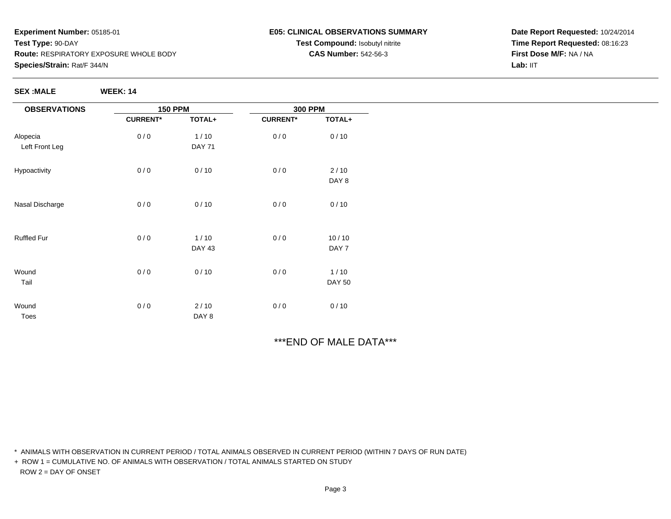**SEX :MALE WEEK: 14**

### **E05: CLINICAL OBSERVATIONS SUMMARYTest Compound:** Isobutyl nitrite**CAS Number:** 542-56-3

**Date Report Requested:** 10/24/2014**Time Report Requested:** 08:16:23**First Dose M/F:** NA / NALab: IIT

| <b>OBSERVATIONS</b> | <b>150 PPM</b>  |               | <b>300 PPM</b>  |               |
|---------------------|-----------------|---------------|-----------------|---------------|
|                     | <b>CURRENT*</b> | TOTAL+        | <b>CURRENT*</b> | TOTAL+        |
| Alopecia            | 0/0             | 1/10          | 0/0             | 0/10          |
| Left Front Leg      |                 | <b>DAY 71</b> |                 |               |
| Hypoactivity        | 0/0             | 0/10          | 0/0             | 2/10          |
|                     |                 |               |                 | DAY 8         |
| Nasal Discharge     | 0/0             | 0/10          | 0/0             | 0/10          |
| <b>Ruffled Fur</b>  | 0/0             | 1/10          | 0/0             | 10/10         |
|                     |                 | <b>DAY 43</b> |                 | DAY 7         |
| Wound               | 0/0             | 0/10          | 0/0             | $1/10$        |
| Tail                |                 |               |                 | <b>DAY 50</b> |
| Wound               | 0/0             | 2/10          | 0/0             | 0/10          |
| Toes                |                 | DAY 8         |                 |               |

# \*\*\*END OF MALE DATA\*\*\*

\* ANIMALS WITH OBSERVATION IN CURRENT PERIOD / TOTAL ANIMALS OBSERVED IN CURRENT PERIOD (WITHIN 7 DAYS OF RUN DATE)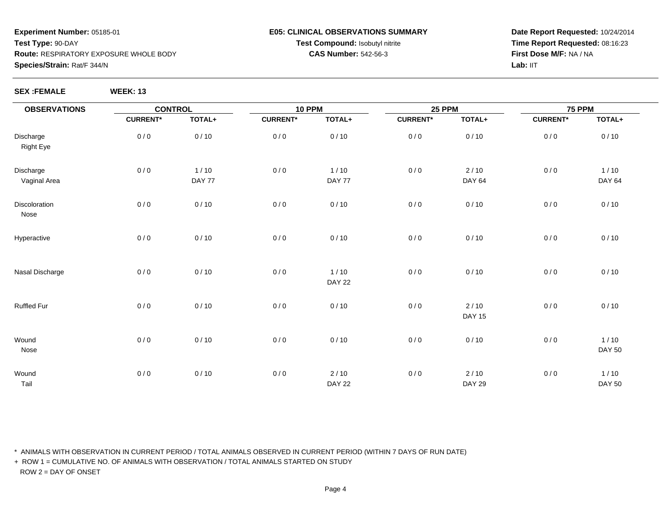### **E05: CLINICAL OBSERVATIONS SUMMARYTest Compound:** Isobutyl nitrite**CAS Number:** 542-56-3

**Date Report Requested:** 10/24/2014**Time Report Requested:** 08:16:23**First Dose M/F:** NA / NALab: IIT

**SEX :FEMALE WEEK: 13**

| <b>OBSERVATIONS</b>           | <b>CONTROL</b>  |                  | <b>10 PPM</b>   |                         |                 | <b>25 PPM</b>           |                 | <b>75 PPM</b>           |  |
|-------------------------------|-----------------|------------------|-----------------|-------------------------|-----------------|-------------------------|-----------------|-------------------------|--|
|                               | <b>CURRENT*</b> | TOTAL+           | <b>CURRENT*</b> | TOTAL+                  | <b>CURRENT*</b> | TOTAL+                  | <b>CURRENT*</b> | TOTAL+                  |  |
| Discharge<br><b>Right Eye</b> | 0/0             | 0/10             | $0/0$           | 0/10                    | 0/0             | 0/10                    | 0/0             | 0/10                    |  |
| Discharge<br>Vaginal Area     | 0/0             | $1/10$<br>DAY 77 | $0/0$           | $1/10$<br>DAY 77        | 0/0             | $2/10$<br><b>DAY 64</b> | 0/0             | $1/10$<br><b>DAY 64</b> |  |
| Discoloration<br>Nose         | 0/0             | 0/10             | 0/0             | 0/10                    | 0/0             | 0/10                    | 0/0             | 0/10                    |  |
| Hyperactive                   | 0/0             | 0/10             | $0/0$           | 0/10                    | 0/0             | 0/10                    | 0/0             | 0/10                    |  |
| Nasal Discharge               | 0/0             | 0/10             | $0/0$           | $1/10$<br><b>DAY 22</b> | 0/0             | 0/10                    | 0/0             | 0/10                    |  |
| <b>Ruffled Fur</b>            | 0/0             | 0/10             | $0/0$           | 0/10                    | 0/0             | $2/10$<br><b>DAY 15</b> | 0/0             | 0/10                    |  |
| Wound<br>Nose                 | 0/0             | 0/10             | $0/0$           | 0/10                    | 0/0             | 0/10                    | 0/0             | 1/10<br><b>DAY 50</b>   |  |
| Wound<br>Tail                 | 0/0             | 0/10             | $0/0$           | $2/10$<br><b>DAY 22</b> | 0/0             | $2/10$<br><b>DAY 29</b> | 0/0             | $1/10$<br><b>DAY 50</b> |  |

\* ANIMALS WITH OBSERVATION IN CURRENT PERIOD / TOTAL ANIMALS OBSERVED IN CURRENT PERIOD (WITHIN 7 DAYS OF RUN DATE)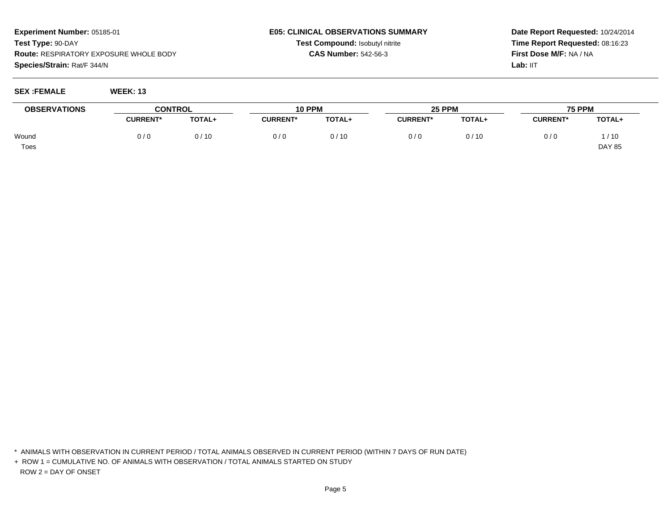#### **E05: CLINICAL OBSERVATIONS SUMMARYTest Compound:** Isobutyl nitrite**CAS Number:** 542-56-3

**Date Report Requested:** 10/24/2014**Time Report Requested:** 08:16:23**First Dose M/F:** NA / NALab: IIT

**SEX :FEMALE WEEK: 13**

| <b>OBSERVATIONS</b> | <b>CONTROL</b>  |        | <b>10 PPM</b>   |        | <b>25 PPM</b>   |        | <b>75 PPM</b>   |               |
|---------------------|-----------------|--------|-----------------|--------|-----------------|--------|-----------------|---------------|
|                     | <b>CURRENT*</b> | TOTAL+ | <b>CURRENT*</b> | TOTAL+ | <b>CURRENT*</b> | TOTAL+ | <b>CURRENT*</b> | <b>TOTAL+</b> |
| Wound               | 0/0             | 0/10   | 0/0             | 0/10   | 0/0             | 0/10   | 0/0             | /10           |
| <b>Toes</b>         |                 |        |                 |        |                 |        |                 | <b>DAY 85</b> |

\* ANIMALS WITH OBSERVATION IN CURRENT PERIOD / TOTAL ANIMALS OBSERVED IN CURRENT PERIOD (WITHIN 7 DAYS OF RUN DATE)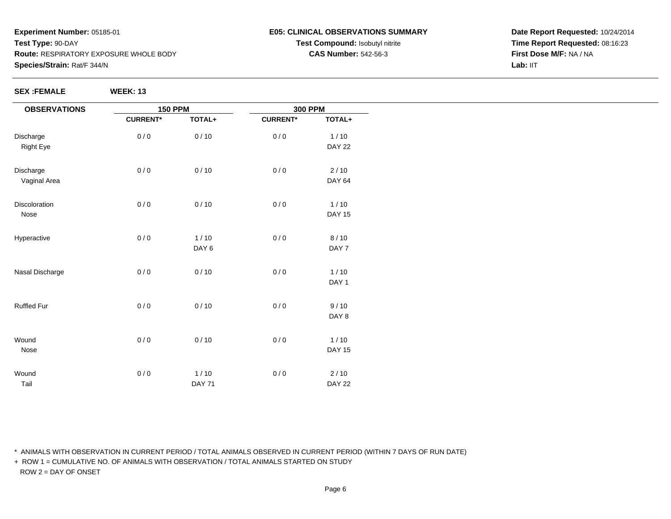#### **E05: CLINICAL OBSERVATIONS SUMMARYTest Compound:** Isobutyl nitrite**CAS Number:** 542-56-3

**Date Report Requested:** 10/24/2014**Time Report Requested:** 08:16:23**First Dose M/F:** NA / NALab: IIT

**SEX :FEMALE WEEK: 13**

| <b>OBSERVATIONS</b> |                 | <b>150 PPM</b> |                 | <b>300 PPM</b> |
|---------------------|-----------------|----------------|-----------------|----------------|
|                     | <b>CURRENT*</b> | TOTAL+         | <b>CURRENT*</b> | TOTAL+         |
| Discharge           | 0/0             | 0/10           | 0/0             | $1/10$         |
| <b>Right Eye</b>    |                 |                |                 | <b>DAY 22</b>  |
| Discharge           | 0/0             | 0/10           | 0/0             | $2/10$         |
| Vaginal Area        |                 |                |                 | <b>DAY 64</b>  |
| Discoloration       | 0/0             | 0/10           | 0/0             | $1/10$         |
| Nose                |                 |                |                 | <b>DAY 15</b>  |
| Hyperactive         | 0/0             | $1/10$         | 0/0             | 8/10           |
|                     |                 | DAY 6          |                 | DAY 7          |
| Nasal Discharge     | 0/0             | 0/10           | 0/0             | $1/10$         |
|                     |                 |                |                 | DAY 1          |
| Ruffled Fur         | 0/0             | 0/10           | 0/0             | 9/10           |
|                     |                 |                |                 | DAY 8          |
| Wound               | 0/0             | 0/10           | 0/0             | $1/10$         |
| Nose                |                 |                |                 | <b>DAY 15</b>  |
| Wound               | 0/0             | $1/10$         | 0/0             | $2/10$         |
| Tail                |                 | <b>DAY 71</b>  |                 | <b>DAY 22</b>  |

\* ANIMALS WITH OBSERVATION IN CURRENT PERIOD / TOTAL ANIMALS OBSERVED IN CURRENT PERIOD (WITHIN 7 DAYS OF RUN DATE)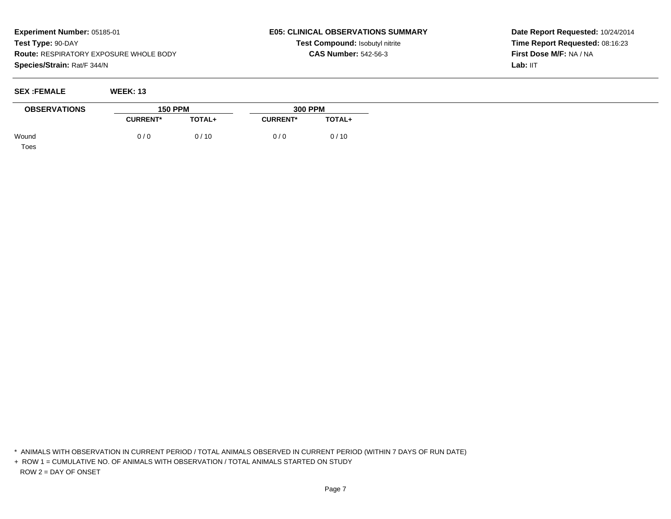#### **E05: CLINICAL OBSERVATIONS SUMMARYTest Compound:** Isobutyl nitrite**CAS Number:** 542-56-3

**Date Report Requested:** 10/24/2014**Time Report Requested:** 08:16:23**First Dose M/F:** NA / NALab: IIT

| <b>SEX:FEMALE</b> | <b>WEEK: 13</b> |
|-------------------|-----------------|
|-------------------|-----------------|

| <b>OBSERVATIONS</b> | <b>150 PPM</b>  |               | <b>300 PPM</b>  |               |
|---------------------|-----------------|---------------|-----------------|---------------|
|                     | <b>CURRENT*</b> | <b>TOTAL+</b> | <b>CURRENT*</b> | <b>TOTAL+</b> |
| Wound               | 0/0             | 0/10          | 0/0             | 0/10          |

Toes

\* ANIMALS WITH OBSERVATION IN CURRENT PERIOD / TOTAL ANIMALS OBSERVED IN CURRENT PERIOD (WITHIN 7 DAYS OF RUN DATE)